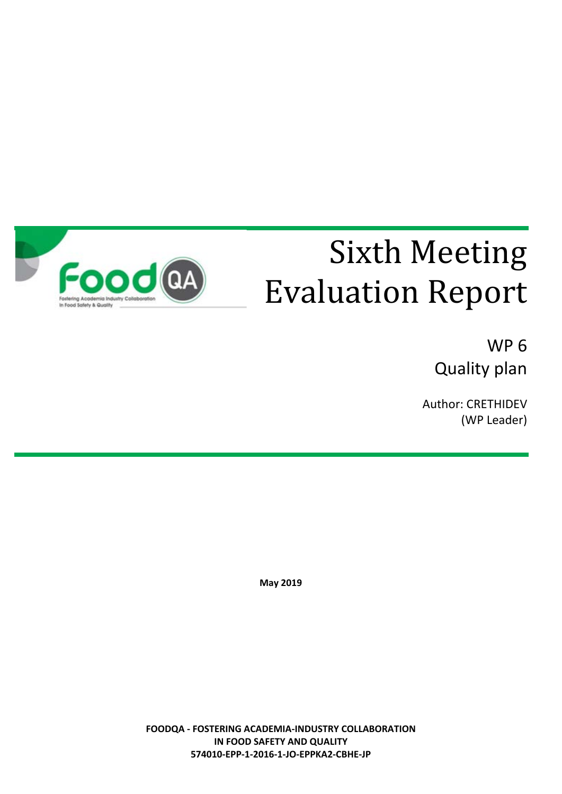

# Sixth Meeting Evaluation Report

WP 6 Quality plan

Author: CRETHIDEV (WP Leader)

**May 2019**

**FOODQA - FOSTERING ACADEMIA-INDUSTRY COLLABORATION IN FOOD SAFETY AND QUALITY 574010-EPP-1-2016-1-JO-EPPKA2-CBHE-JP**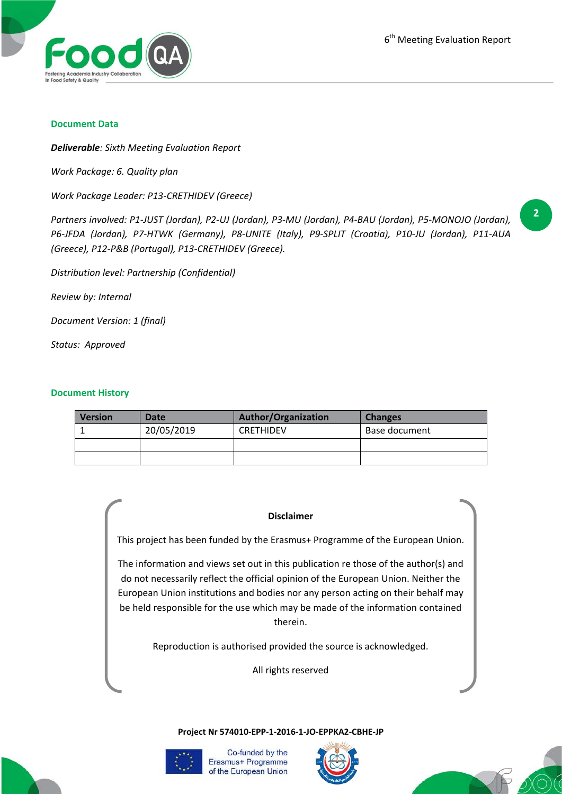

#### **Document Data**

*Deliverable: Sixth Meeting Evaluation Report*

*Work Package: 6. Quality plan*

*Work Package Leader: P13-CRETHIDEV (Greece)*

*Partners involved: P1-JUST (Jordan), P2-UJ (Jordan), P3-MU (Jordan), P4-BAU (Jordan), P5-MONOJO (Jordan), P6-JFDA (Jordan), P7-HTWK (Germany), P8-UNITE (Italy), P9-SPLIT (Croatia), P10-JU (Jordan), P11-AUA (Greece), P12-P&B (Portugal), P13-CRETHIDEV (Greece).*

*Distribution level: Partnership (Confidential)*

*Review by: Internal*

*Document Version: 1 (final)*

*Status: Approved*

#### **Document History**

| <b>Version</b> | Date       | <b>Author/Organization</b> | <b>Changes</b> |
|----------------|------------|----------------------------|----------------|
|                | 20/05/2019 | <b>CRETHIDEV</b>           | Base document  |
|                |            |                            |                |
|                |            |                            |                |

#### **Disclaimer**

This project has been funded by the Erasmus+ Programme of the European Union.

The information and views set out in this publication re those of the author(s) and do not necessarily reflect the official opinion of the European Union. Neither the European Union institutions and bodies nor any person acting on their behalf may be held responsible for the use which may be made of the information contained therein.

Reproduction is authorised provided the source is acknowledged.

All rights reserved

**Project Nr 574010-EPP-1-2016-1-JO-EPPKA2-CBHE-JP**



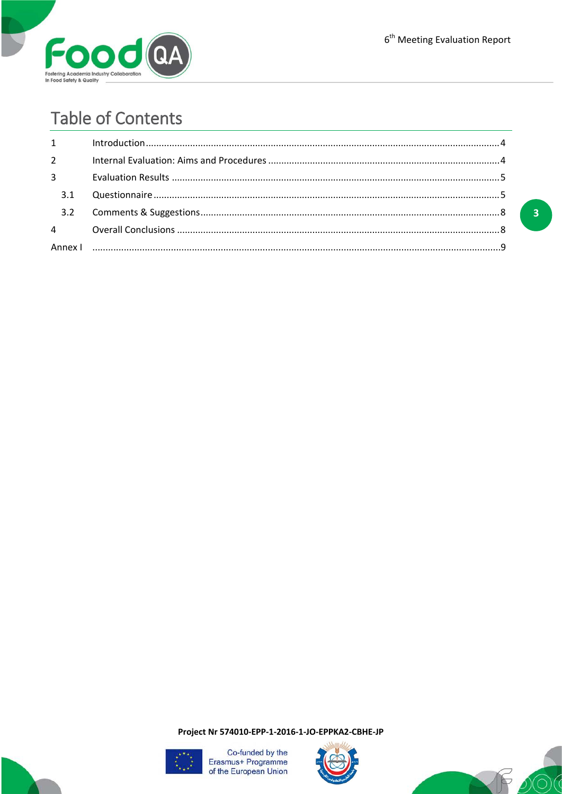

# **Table of Contents**

| $1 \quad \blacksquare$ | $In traditional, 10011, 1011, 1011, 1011, 1011, 1011, 1011, 1011, 1011, 1011, 1011, 1011, 1011, 1011, 1011, 1011, 1011, 1011, 1011, 1011, 1011, 1011, 1011, 1011, 1011, 1011, 1011, 1011, 1011, 1011, 1011, 1011, 1011, 1011, 1011, 1011,$ |  |
|------------------------|--------------------------------------------------------------------------------------------------------------------------------------------------------------------------------------------------------------------------------------------|--|
| $2^{\sim}$             |                                                                                                                                                                                                                                            |  |
| $3^{\circ}$            |                                                                                                                                                                                                                                            |  |
| 3.1                    |                                                                                                                                                                                                                                            |  |
|                        |                                                                                                                                                                                                                                            |  |
|                        |                                                                                                                                                                                                                                            |  |
|                        |                                                                                                                                                                                                                                            |  |

 $\overline{\mathbf{3}}$ 

Project Nr 574010-EPP-1-2016-1-JO-EPPKA2-CBHE-JP





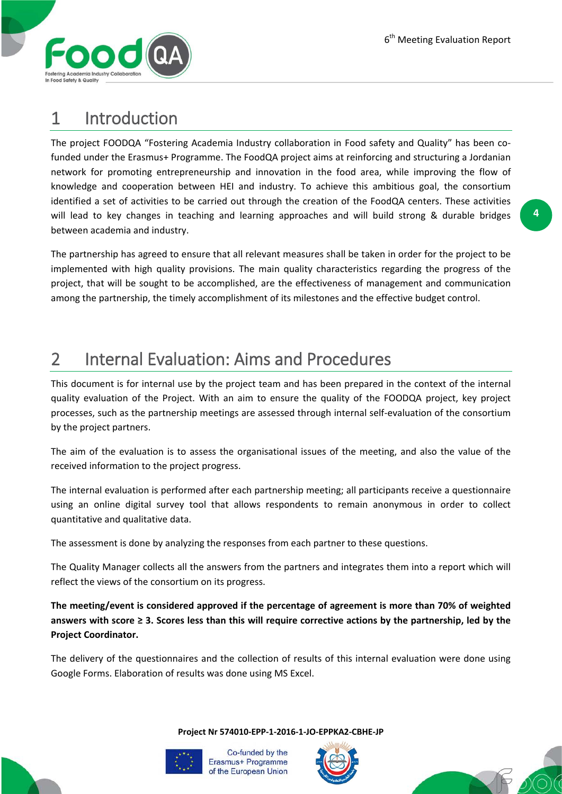

### 1 Introduction

The project FOODQA "Fostering Academia Industry collaboration in Food safety and Quality" has been cofunded under the Erasmus+ Programme. The FoodQA project aims at reinforcing and structuring a Jordanian network for promoting entrepreneurship and innovation in the food area, while improving the flow of knowledge and cooperation between HEI and industry. To achieve this ambitious goal, the consortium identified a set of activities to be carried out through the creation of the FoodQA centers. These activities will lead to key changes in teaching and learning approaches and will build strong & durable bridges between academia and industry.

The partnership has agreed to ensure that all relevant measures shall be taken in order for the project to be implemented with high quality provisions. The main quality characteristics regarding the progress of the project, that will be sought to be accomplished, are the effectiveness of management and communication among the partnership, the timely accomplishment of its milestones and the effective budget control.

## 2 Internal Evaluation: Aims and Procedures

This document is for internal use by the project team and has been prepared in the context of the internal quality evaluation of the Project. With an aim to ensure the quality of the FOODQA project, key project processes, such as the partnership meetings are assessed through internal self-evaluation of the consortium by the project partners.

The aim of the evaluation is to assess the organisational issues of the meeting, and also the value of the received information to the project progress.

The internal evaluation is performed after each partnership meeting; all participants receive a questionnaire using an online digital survey tool that allows respondents to remain anonymous in order to collect quantitative and qualitative data.

The assessment is done by analyzing the responses from each partner to these questions.

The Quality Manager collects all the answers from the partners and integrates them into a report which will reflect the views of the consortium on its progress.

**The meeting/event is considered approved if the percentage of agreement is more than 70% of weighted answers with score ≥ 3. Scores less than this will require corrective actions by the partnership, led by the Project Coordinator.**

The delivery of the questionnaires and the collection of results of this internal evaluation were done using Google Forms. Elaboration of results was done using MS Excel.

**Project Nr 574010-EPP-1-2016-1-JO-EPPKA2-CBHE-JP**





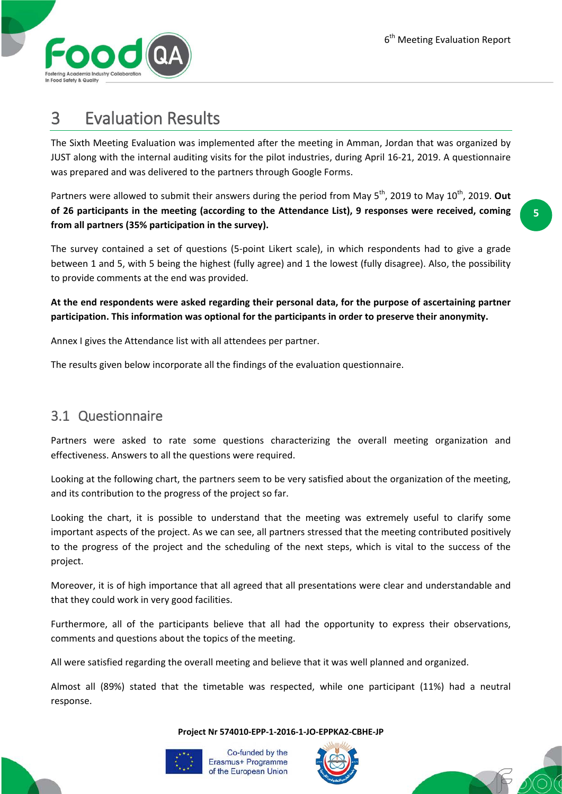

### 3 Evaluation Results

The Sixth Meeting Evaluation was implemented after the meeting in Amman, Jordan that was organized by JUST along with the internal auditing visits for the pilot industries, during April 16-21, 2019. A questionnaire was prepared and was delivered to the partners through Google Forms.

Partners were allowed to submit their answers during the period from May 5<sup>th</sup>, 2019 to May 10<sup>th</sup>, 2019. Out **of 26 participants in the meeting (according to the Attendance List), 9 responses were received, coming from all partners (35% participation in the survey).**

The survey contained a set of questions (5-point Likert scale), in which respondents had to give a grade between 1 and 5, with 5 being the highest (fully agree) and 1 the lowest (fully disagree). Also, the possibility to provide comments at the end was provided.

**At the end respondents were asked regarding their personal data, for the purpose of ascertaining partner participation. This information was optional for the participants in order to preserve their anonymity.**

Annex I gives the Attendance list with all attendees per partner.

The results given below incorporate all the findings of the evaluation questionnaire.

#### 3.1 Questionnaire

Partners were asked to rate some questions characterizing the overall meeting organization and effectiveness. Answers to all the questions were required.

Looking at the following chart, the partners seem to be very satisfied about the organization of the meeting, and its contribution to the progress of the project so far.

Looking the chart, it is possible to understand that the meeting was extremely useful to clarify some important aspects of the project. As we can see, all partners stressed that the meeting contributed positively to the progress of the project and the scheduling of the next steps, which is vital to the success of the project.

Moreover, it is of high importance that all agreed that all presentations were clear and understandable and that they could work in very good facilities.

Furthermore, all of the participants believe that all had the opportunity to express their observations, comments and questions about the topics of the meeting.

All were satisfied regarding the overall meeting and believe that it was well planned and organized.

Almost all (89%) stated that the timetable was respected, while one participant (11%) had a neutral response.

**Project Nr 574010-EPP-1-2016-1-JO-EPPKA2-CBHE-JP**





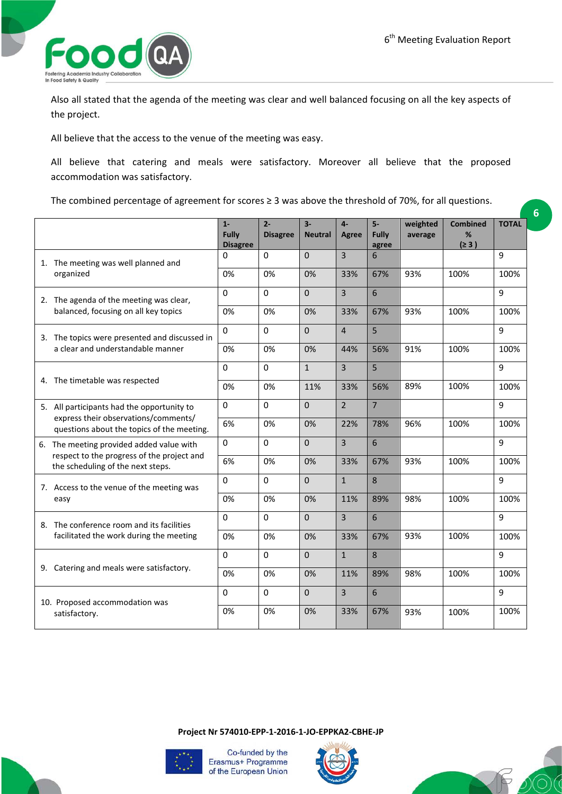**6**



Also all stated that the agenda of the meeting was clear and well balanced focusing on all the key aspects of the project.

All believe that the access to the venue of the meeting was easy.

All believe that catering and meals were satisfactory. Moreover all believe that the proposed accommodation was satisfactory.

The combined percentage of agreement for scores ≥ 3 was above the threshold of 70%, for all questions.

|                                                                                                                                  | $1 -$<br><b>Fully</b><br><b>Disagree</b> | $2 -$<br><b>Disagree</b> | $3-$<br><b>Neutral</b> | $4-$<br>Agree  | $5-$<br>Fully<br>agree | weighted<br>average | <b>Combined</b><br>%<br>(≥ 3) | <b>TOTAL</b> |
|----------------------------------------------------------------------------------------------------------------------------------|------------------------------------------|--------------------------|------------------------|----------------|------------------------|---------------------|-------------------------------|--------------|
| 1. The meeting was well planned and<br>organized                                                                                 | $\Omega$                                 | $\Omega$                 | $\Omega$               | $\overline{3}$ | 6                      |                     |                               | 9            |
|                                                                                                                                  | 0%                                       | 0%                       | 0%                     | 33%            | 67%                    | 93%                 | 100%                          | 100%         |
| 2. The agenda of the meeting was clear,<br>balanced, focusing on all key topics                                                  | $\Omega$                                 | $\mathbf 0$              | $\Omega$               | $\overline{3}$ | 6                      |                     |                               | 9            |
|                                                                                                                                  | 0%                                       | 0%                       | 0%                     | 33%            | 67%                    | 93%                 | 100%                          | 100%         |
| 3. The topics were presented and discussed in<br>a clear and understandable manner                                               | 0                                        | $\mathbf 0$              | $\mathbf 0$            | $\overline{4}$ | 5                      |                     |                               | 9            |
|                                                                                                                                  | 0%                                       | 0%                       | 0%                     | 44%            | 56%                    | 91%                 | 100%                          | 100%         |
| 4. The timetable was respected                                                                                                   | 0                                        | $\Omega$                 | $\mathbf{1}$           | 3              | 5                      |                     |                               | 9            |
|                                                                                                                                  | 0%                                       | 0%                       | 11%                    | 33%            | 56%                    | 89%                 | 100%                          | 100%         |
| 5. All participants had the opportunity to<br>express their observations/comments/<br>questions about the topics of the meeting. | $\Omega$                                 | $\Omega$                 | $\Omega$               | $\overline{2}$ | $\overline{7}$         |                     |                               | 9            |
|                                                                                                                                  | 6%                                       | 0%                       | 0%                     | 22%            | 78%                    | 96%                 | 100%                          | 100%         |
| 6. The meeting provided added value with<br>respect to the progress of the project and<br>the scheduling of the next steps.      | 0                                        | $\Omega$                 | $\Omega$               | $\overline{3}$ | 6                      |                     |                               | 9            |
|                                                                                                                                  | 6%                                       | 0%                       | 0%                     | 33%            | 67%                    | 93%                 | 100%                          | 100%         |
| 7. Access to the venue of the meeting was<br>easy                                                                                | $\Omega$                                 | $\Omega$                 | $\Omega$               | $\mathbf{1}$   | 8                      |                     |                               | 9            |
|                                                                                                                                  | 0%                                       | 0%                       | 0%                     | 11%            | 89%                    | 98%                 | 100%                          | 100%         |
| 8. The conference room and its facilities<br>facilitated the work during the meeting                                             | 0                                        | 0                        | $\mathbf 0$            | $\overline{3}$ | 6                      |                     |                               | 9            |
|                                                                                                                                  | 0%                                       | 0%                       | 0%                     | 33%            | 67%                    | 93%                 | 100%                          | 100%         |
| 9. Catering and meals were satisfactory.                                                                                         | 0                                        | $\Omega$                 | $\mathbf 0$            | $\mathbf{1}$   | 8                      |                     |                               | 9            |
|                                                                                                                                  | 0%                                       | 0%                       | 0%                     | 11%            | 89%                    | 98%                 | 100%                          | 100%         |
| 10. Proposed accommodation was                                                                                                   | $\Omega$                                 | $\Omega$                 | $\Omega$               | $\overline{3}$ | 6                      |                     |                               | 9            |
| satisfactory.                                                                                                                    | 0%                                       | 0%                       | 0%                     | 33%            | 67%                    | 93%                 | 100%                          | 100%         |

**Project Nr 574010-EPP-1-2016-1-JO-EPPKA2-CBHE-JP**





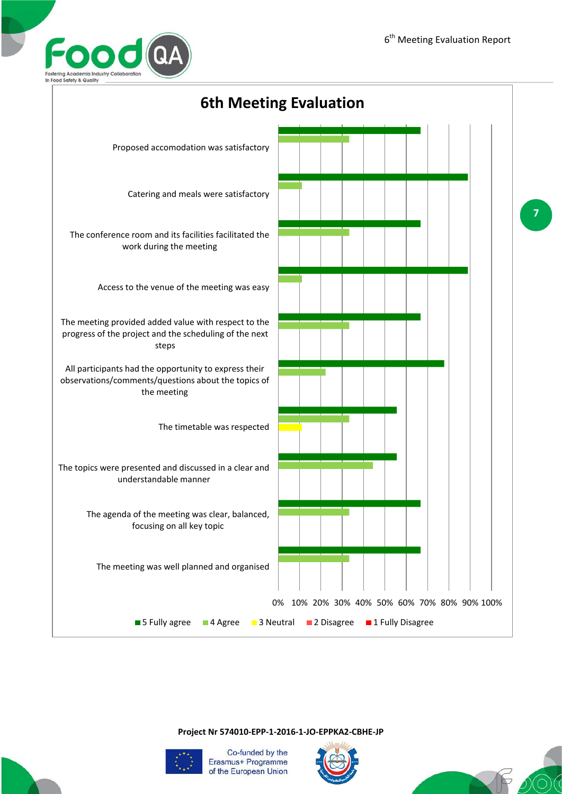



**Project Nr 574010-EPP-1-2016-1-JO-EPPKA2-CBHE-JP**





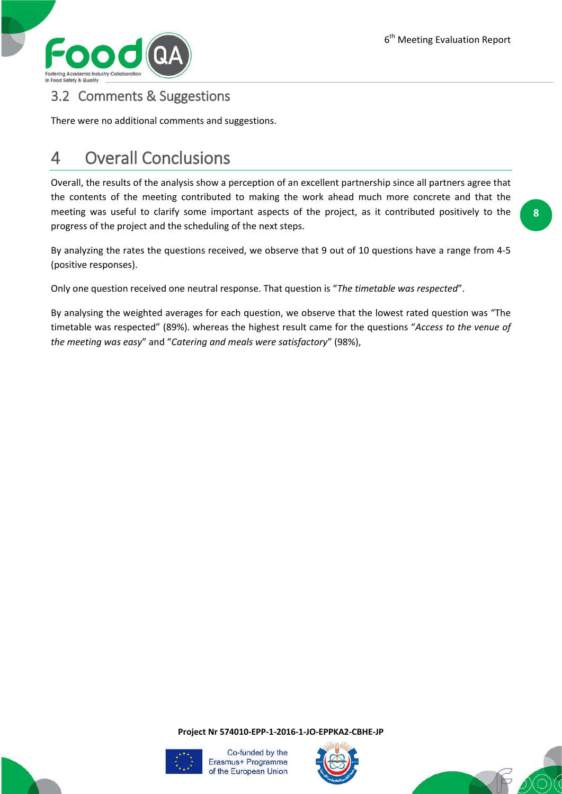

#### 3.2 Comments & Suggestions

There were no additional comments and suggestions.

### 4 Overall Conclusions

Overall, the results of the analysis show a perception of an excellent partnership since all partners agree that the contents of the meeting contributed to making the work ahead much more concrete and that the meeting was useful to clarify some important aspects of the project, as it contributed positively to the progress of the project and the scheduling of the next steps.

By analyzing the rates the questions received, we observe that 9 out of 10 questions have a range from 4-5 (positive responses).

Only one question received one neutral response. That question is "*The timetable was respected*".

By analysing the weighted averages for each question, we observe that the lowest rated question was "The timetable was respected" (89%). whereas the highest result came for the questions "*Access to the venue of the meeting was easy*" and "*Catering and meals were satisfactory*" (98%),

**Project Nr 574010-EPP-1-2016-1-JO-EPPKA2-CBHE-JP**